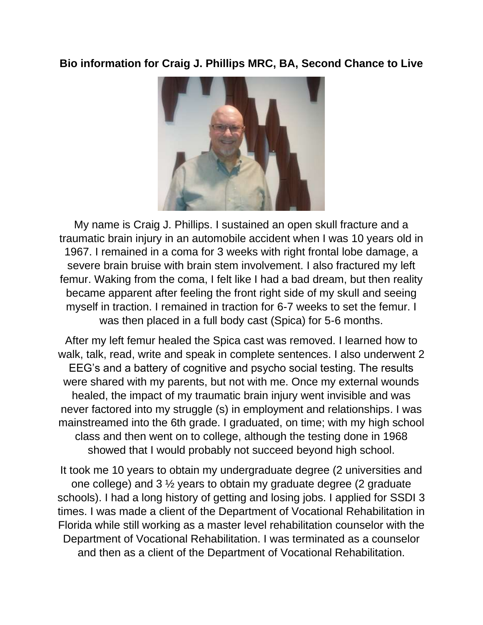## **Bio information for Craig J. Phillips MRC, BA, Second Chance to Live**



My name is Craig J. Phillips. I sustained an open skull fracture and a traumatic brain injury in an automobile accident when I was 10 years old in 1967. I remained in a coma for 3 weeks with right frontal lobe damage, a severe brain bruise with brain stem involvement. I also fractured my left femur. Waking from the coma, I felt like I had a bad dream, but then reality became apparent after feeling the front right side of my skull and seeing myself in traction. I remained in traction for 6-7 weeks to set the femur. I was then placed in a full body cast (Spica) for 5-6 months.

After my left femur healed the Spica cast was removed. I learned how to walk, talk, read, write and speak in complete sentences. I also underwent 2 EEG's and a battery of cognitive and psycho social testing. The results were shared with my parents, but not with me. Once my external wounds healed, the impact of my traumatic brain injury went invisible and was never factored into my struggle (s) in employment and relationships. I was mainstreamed into the 6th grade. I graduated, on time; with my high school class and then went on to college, although the testing done in 1968 showed that I would probably not succeed beyond high school.

It took me 10 years to obtain my undergraduate degree (2 universities and one college) and 3 ½ years to obtain my graduate degree (2 graduate schools). I had a long history of getting and losing jobs. I applied for SSDI 3 times. I was made a client of the Department of Vocational Rehabilitation in Florida while still working as a master level rehabilitation counselor with the Department of Vocational Rehabilitation. I was terminated as a counselor and then as a client of the Department of Vocational Rehabilitation.